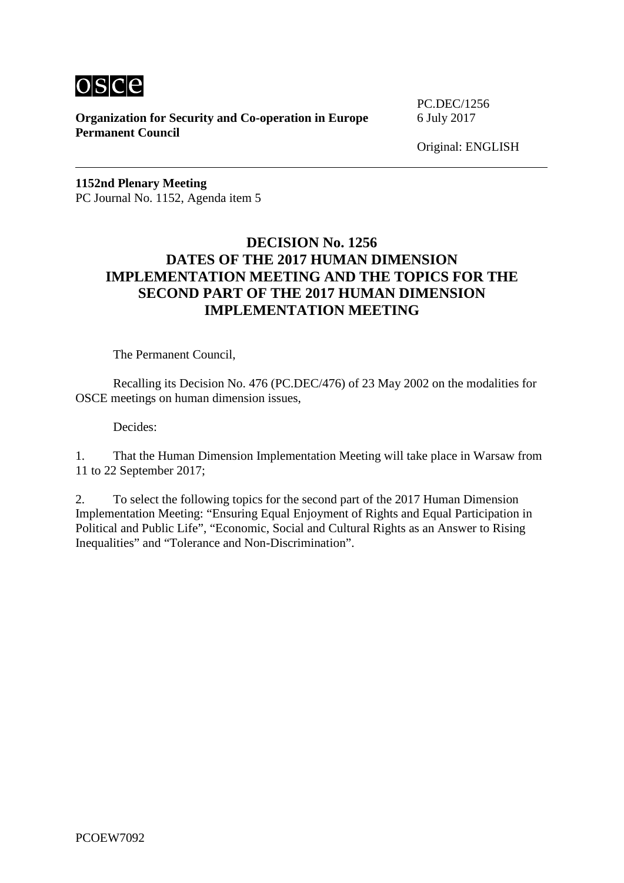

**Organization for Security and Co-operation in Europe** 6 July 2017 **Permanent Council**

PC.DEC/1256

Original: ENGLISH

**1152nd Plenary Meeting** PC Journal No. 1152, Agenda item 5

## **DECISION No. 1256 DATES OF THE 2017 HUMAN DIMENSION IMPLEMENTATION MEETING AND THE TOPICS FOR THE SECOND PART OF THE 2017 HUMAN DIMENSION IMPLEMENTATION MEETING**

The Permanent Council,

Recalling its Decision No. 476 (PC.DEC/476) of 23 May 2002 on the modalities for OSCE meetings on human dimension issues,

Decides:

1. That the Human Dimension Implementation Meeting will take place in Warsaw from 11 to 22 September 2017;

2. To select the following topics for the second part of the 2017 Human Dimension Implementation Meeting: "Ensuring Equal Enjoyment of Rights and Equal Participation in Political and Public Life", "Economic, Social and Cultural Rights as an Answer to Rising Inequalities" and "Tolerance and Non-Discrimination".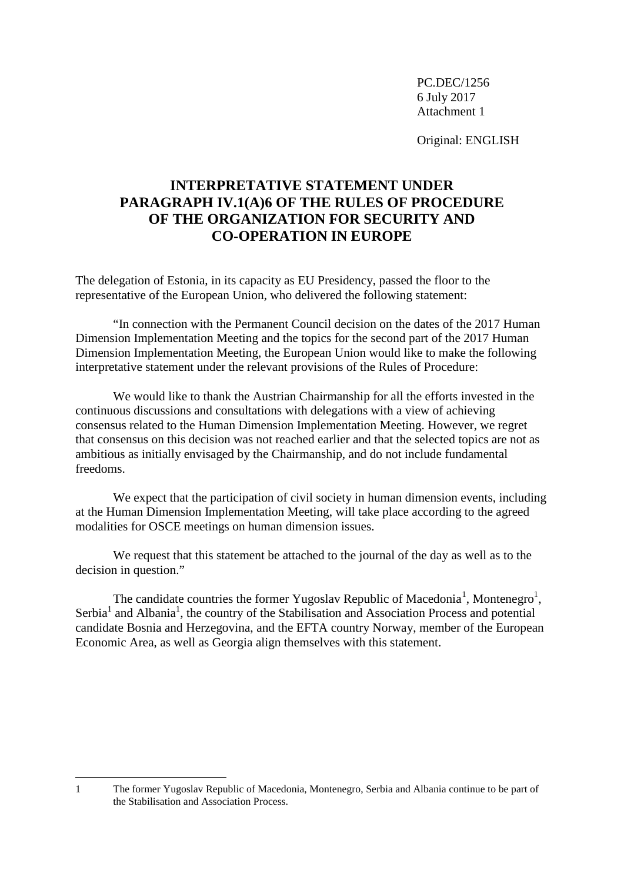PC.DEC/1256 6 July 2017 Attachment 1

Original: ENGLISH

## **INTERPRETATIVE STATEMENT UNDER PARAGRAPH IV.1(A)6 OF THE RULES OF PROCEDURE OF THE ORGANIZATION FOR SECURITY AND CO-OPERATION IN EUROPE**

The delegation of Estonia, in its capacity as EU Presidency, passed the floor to the representative of the European Union, who delivered the following statement:

"In connection with the Permanent Council decision on the dates of the 2017 Human Dimension Implementation Meeting and the topics for the second part of the 2017 Human Dimension Implementation Meeting, the European Union would like to make the following interpretative statement under the relevant provisions of the Rules of Procedure:

We would like to thank the Austrian Chairmanship for all the efforts invested in the continuous discussions and consultations with delegations with a view of achieving consensus related to the Human Dimension Implementation Meeting. However, we regret that consensus on this decision was not reached earlier and that the selected topics are not as ambitious as initially envisaged by the Chairmanship, and do not include fundamental freedoms.

We expect that the participation of civil society in human dimension events, including at the Human Dimension Implementation Meeting, will take place according to the agreed modalities for OSCE meetings on human dimension issues.

We request that this statement be attached to the journal of the day as well as to the decision in question."

<span id="page-1-0"></span>The candidate countries the former Yugoslav Republic of Macedonia<sup>[1](#page-1-1)</sup>, M[o](#page-1-0)ntenegro<sup>1</sup>, Serbia<sup>1</sup> and Albania<sup>1</sup>, the country of the Stabilisation and Association Process and potential candidate Bosnia and Herzegovina, and the EFTA country Norway, member of the European Economic Area, as well as Georgia align themselves with this statement.

-

<span id="page-1-1"></span><sup>1</sup> The former Yugoslav Republic of Macedonia, Montenegro, Serbia and Albania continue to be part of the Stabilisation and Association Process.